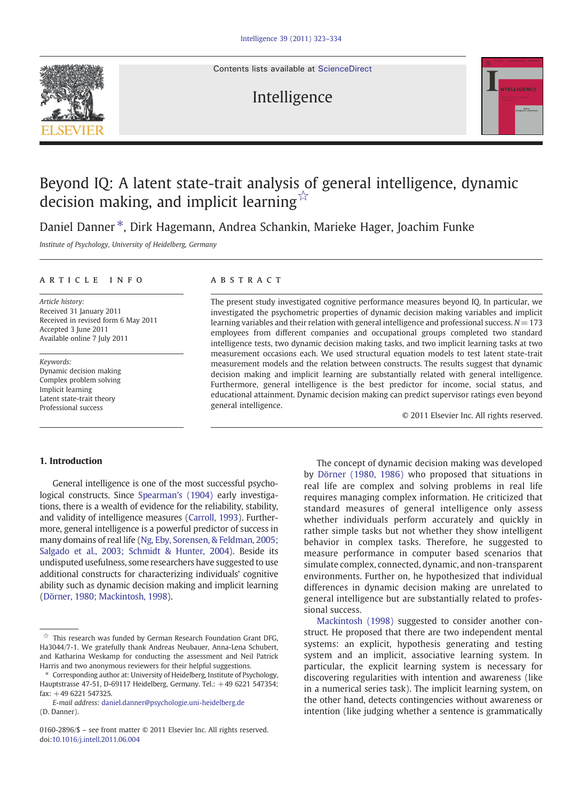Contents lists available at [ScienceDirect](http://www.sciencedirect.com/science/journal/01602896)

## Intelligence



# Beyond IQ: A latent state-trait analysis of general intelligence, dynamic decision making, and implicit learning  $\overrightarrow{x}$

Daniel Danner<sup>\*</sup>. Dirk Hagemann, Andrea Schankin, Marieke Hager, Joachim Funke

Institute of Psychology, University of Heidelberg, Germany

#### article info abstract

Article history: Received 31 January 2011 Received in revised form 6 May 2011 Accepted 3 June 2011 Available online 7 July 2011

Keywords: Dynamic decision making Complex problem solving Implicit learning Latent state-trait theory Professional success

The present study investigated cognitive performance measures beyond IQ. In particular, we investigated the psychometric properties of dynamic decision making variables and implicit learning variables and their relation with general intelligence and professional success.  $N=173$ employees from different companies and occupational groups completed two standard intelligence tests, two dynamic decision making tasks, and two implicit learning tasks at two measurement occasions each. We used structural equation models to test latent state-trait measurement models and the relation between constructs. The results suggest that dynamic decision making and implicit learning are substantially related with general intelligence. Furthermore, general intelligence is the best predictor for income, social status, and educational attainment. Dynamic decision making can predict supervisor ratings even beyond general intelligence.

© 2011 Elsevier Inc. All rights reserved.

### 1. Introduction

General intelligence is one of the most successful psychological constructs. Since [Spearman's \(1904\)](#page--1-0) early investigations, there is a wealth of evidence for the reliability, stability, and validity of intelligence measures ([Carroll, 1993\)](#page--1-0). Furthermore, general intelligence is a powerful predictor of success in many domains of real life ([Ng, Eby, Sorensen, & Feldman, 2005;](#page--1-0) [Salgado et al., 2003; Schmidt & Hunter, 2004](#page--1-0)). Beside its undisputed usefulness, some researchers have suggested to use additional constructs for characterizing individuals' cognitive ability such as dynamic decision making and implicit learning [\(Dörner, 1980; Mackintosh, 1998\)](#page--1-0).

The concept of dynamic decision making was developed by [Dörner \(1980, 1986\)](#page--1-0) who proposed that situations in real life are complex and solving problems in real life requires managing complex information. He criticized that standard measures of general intelligence only assess whether individuals perform accurately and quickly in rather simple tasks but not whether they show intelligent behavior in complex tasks. Therefore, he suggested to measure performance in computer based scenarios that simulate complex, connected, dynamic, and non-transparent environments. Further on, he hypothesized that individual differences in dynamic decision making are unrelated to general intelligence but are substantially related to professional success.

[Mackintosh \(1998\)](#page--1-0) suggested to consider another construct. He proposed that there are two independent mental systems: an explicit, hypothesis generating and testing system and an implicit, associative learning system. In particular, the explicit learning system is necessary for discovering regularities with intention and awareness (like in a numerical series task). The implicit learning system, on the other hand, detects contingencies without awareness or intention (like judging whether a sentence is grammatically

 $\overrightarrow{r}$  This research was funded by German Research Foundation Grant DFG, Ha3044/7-1. We gratefully thank Andreas Neubauer, Anna-Lena Schubert, and Katharina Weskamp for conducting the assessment and Neil Patrick Harris and two anonymous reviewers for their helpful suggestions.

<sup>⁎</sup> Corresponding author at: University of Heidelberg, Institute of Psychology, Hauptstrasse 47-51, D-69117 Heidelberg, Germany. Tel.: +49 6221 547354; fax: +49 6221 547325.

E-mail address: [daniel.danner@psychologie.uni-heidelberg.de](mailto:daniel.danner@psychologie.uni-heidelberg.de) (D. Danner).

<sup>0160-2896/\$</sup> – see front matter © 2011 Elsevier Inc. All rights reserved. doi[:10.1016/j.intell.2011.06.004](http://dx.doi.org/10.1016/j.intell.2011.06.004)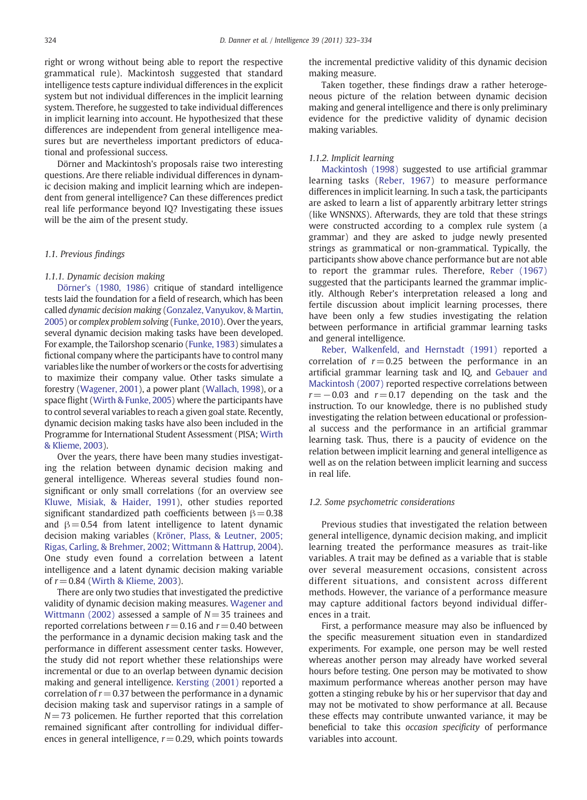right or wrong without being able to report the respective grammatical rule). Mackintosh suggested that standard intelligence tests capture individual differences in the explicit system but not individual differences in the implicit learning system. Therefore, he suggested to take individual differences in implicit learning into account. He hypothesized that these differences are independent from general intelligence measures but are nevertheless important predictors of educational and professional success.

Dörner and Mackintosh's proposals raise two interesting questions. Are there reliable individual differences in dynamic decision making and implicit learning which are independent from general intelligence? Can these differences predict real life performance beyond IQ? Investigating these issues will be the aim of the present study.

#### 1.1. Previous findings

#### 1.1.1. Dynamic decision making

[Dörner's \(1980, 1986\)](#page--1-0) critique of standard intelligence tests laid the foundation for a field of research, which has been called dynamic decision making [\(Gonzalez, Vanyukov, & Martin,](#page--1-0) [2005](#page--1-0)) or complex problem solving [\(Funke, 2010\)](#page--1-0). Over the years, several dynamic decision making tasks have been developed. For example, the Tailorshop scenario [\(Funke, 1983\)](#page--1-0) simulates a fictional company where the participants have to control many variables like the number of workers or the costs for advertising to maximize their company value. Other tasks simulate a forestry [\(Wagener, 2001](#page--1-0)), a power plant ([Wallach, 1998](#page--1-0)), or a space flight [\(Wirth & Funke, 2005\)](#page--1-0) where the participants have to control several variables to reach a given goal state. Recently, dynamic decision making tasks have also been included in the Programme for International Student Assessment (PISA; [Wirth](#page--1-0) [& Klieme, 2003](#page--1-0)).

Over the years, there have been many studies investigating the relation between dynamic decision making and general intelligence. Whereas several studies found nonsignificant or only small correlations (for an overview see [Kluwe, Misiak, & Haider, 1991\)](#page--1-0), other studies reported significant standardized path coefficients between  $\beta = 0.38$ and  $\beta = 0.54$  from latent intelligence to latent dynamic decision making variables [\(Kröner, Plass, & Leutner, 2005;](#page--1-0) [Rigas, Carling, & Brehmer, 2002; Wittmann & Hattrup, 2004](#page--1-0)). One study even found a correlation between a latent intelligence and a latent dynamic decision making variable of  $r = 0.84$  [\(Wirth & Klieme, 2003\)](#page--1-0).

There are only two studies that investigated the predictive validity of dynamic decision making measures. [Wagener and](#page--1-0) [Wittmann \(2002\)](#page--1-0) assessed a sample of  $N=35$  trainees and reported correlations between  $r = 0.16$  and  $r = 0.40$  between the performance in a dynamic decision making task and the performance in different assessment center tasks. However, the study did not report whether these relationships were incremental or due to an overlap between dynamic decision making and general intelligence. [Kersting \(2001\)](#page--1-0) reported a correlation of  $r = 0.37$  between the performance in a dynamic decision making task and supervisor ratings in a sample of  $N= 73$  policemen. He further reported that this correlation remained significant after controlling for individual differences in general intelligence,  $r = 0.29$ , which points towards the incremental predictive validity of this dynamic decision making measure.

Taken together, these findings draw a rather heterogeneous picture of the relation between dynamic decision making and general intelligence and there is only preliminary evidence for the predictive validity of dynamic decision making variables.

#### 1.1.2. Implicit learning

[Mackintosh \(1998\)](#page--1-0) suggested to use artificial grammar learning tasks [\(Reber, 1967\)](#page--1-0) to measure performance differences in implicit learning. In such a task, the participants are asked to learn a list of apparently arbitrary letter strings (like WNSNXS). Afterwards, they are told that these strings were constructed according to a complex rule system (a grammar) and they are asked to judge newly presented strings as grammatical or non-grammatical. Typically, the participants show above chance performance but are not able to report the grammar rules. Therefore, [Reber \(1967\)](#page--1-0) suggested that the participants learned the grammar implicitly. Although Reber's interpretation released a long and fertile discussion about implicit learning processes, there have been only a few studies investigating the relation between performance in artificial grammar learning tasks and general intelligence.

[Reber, Walkenfeld, and Hernstadt \(1991\)](#page--1-0) reported a correlation of  $r = 0.25$  between the performance in an artificial grammar learning task and IQ, and [Gebauer and](#page--1-0) [Mackintosh \(2007\)](#page--1-0) reported respective correlations between  $r=-0.03$  and  $r=0.17$  depending on the task and the instruction. To our knowledge, there is no published study investigating the relation between educational or professional success and the performance in an artificial grammar learning task. Thus, there is a paucity of evidence on the relation between implicit learning and general intelligence as well as on the relation between implicit learning and success in real life.

#### 1.2. Some psychometric considerations

Previous studies that investigated the relation between general intelligence, dynamic decision making, and implicit learning treated the performance measures as trait-like variables. A trait may be defined as a variable that is stable over several measurement occasions, consistent across different situations, and consistent across different methods. However, the variance of a performance measure may capture additional factors beyond individual differences in a trait.

First, a performance measure may also be influenced by the specific measurement situation even in standardized experiments. For example, one person may be well rested whereas another person may already have worked several hours before testing. One person may be motivated to show maximum performance whereas another person may have gotten a stinging rebuke by his or her supervisor that day and may not be motivated to show performance at all. Because these effects may contribute unwanted variance, it may be beneficial to take this occasion specificity of performance variables into account.